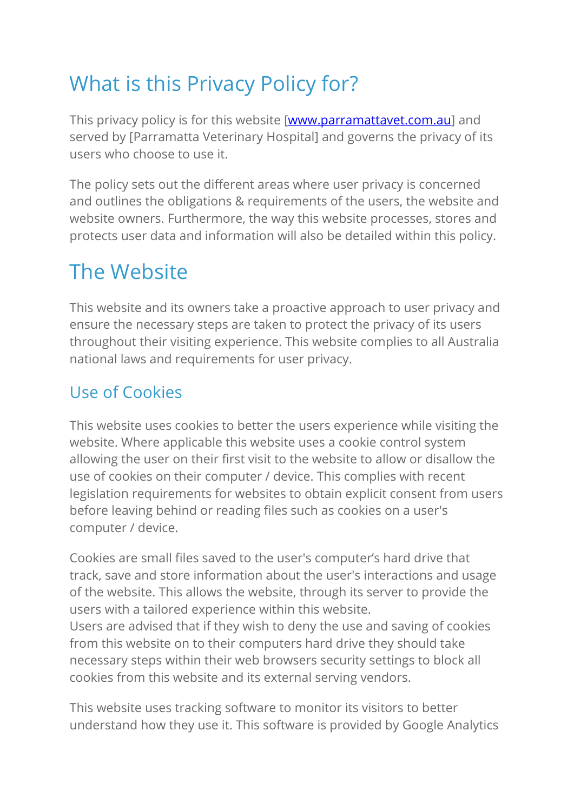# What is this Privacy Policy for?

This privacy policy is for this website [www.parramattavet.com.au] and served by [Parramatta Veterinary Hospital] and governs the privacy of its users who choose to use it.

The policy sets out the different areas where user privacy is concerned and outlines the obligations & requirements of the users, the website and website owners. Furthermore, the way this website processes, stores and protects user data and information will also be detailed within this policy.

# The Website

This website and its owners take a proactive approach to user privacy and ensure the necessary steps are taken to protect the privacy of its users throughout their visiting experience. This website complies to all Australia national laws and requirements for user privacy.

#### Use of Cookies

This website uses cookies to better the users experience while visiting the website. Where applicable this website uses a cookie control system allowing the user on their first visit to the website to allow or disallow the use of cookies on their computer / device. This complies with recent legislation requirements for websites to obtain explicit consent from users before leaving behind or reading files such as cookies on a user's computer / device.

Cookies are small files saved to the user's computer's hard drive that track, save and store information about the user's interactions and usage of the website. This allows the website, through its server to provide the users with a tailored experience within this website.

Users are advised that if they wish to deny the use and saving of cookies from this website on to their computers hard drive they should take necessary steps within their web browsers security settings to block all cookies from this website and its external serving vendors.

This website uses tracking software to monitor its visitors to better understand how they use it. This software is provided by Google Analytics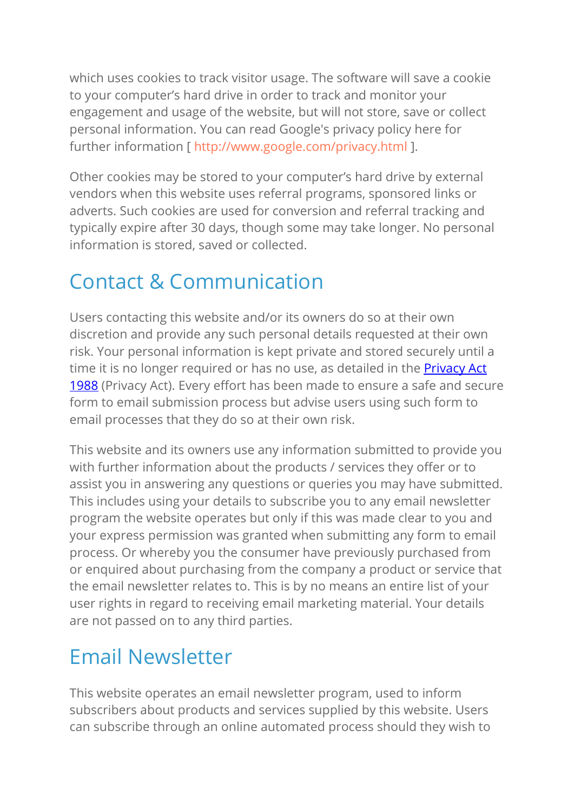which uses cookies to track visitor usage. The software will save a cookie to your computer's hard drive in order to track and monitor your engagement and usage of the website, but will not store, save or collect personal information. You can read Google's privacy policy here for further information [ http://www.google.com/privacy.html ].

Other cookies may be stored to your computer's hard drive by external vendors when this website uses referral programs, sponsored links or adverts. Such cookies are used for conversion and referral tracking and typically expire after 30 days, though some may take longer. No personal information is stored, saved or collected.

### Contact & Communication

Users contacting this website and/or its owners do so at their own discretion and provide any such personal details requested at their own risk. Your personal information is kept private and stored securely until a time it is no longer required or has no use, as detailed in the **Privacy Act** 1988 (Privacy Act). Every effort has been made to ensure a safe and secure form to email submission process but advise users using such form to email processes that they do so at their own risk.

This website and its owners use any information submitted to provide you with further information about the products / services they offer or to assist you in answering any questions or queries you may have submitted. This includes using your details to subscribe you to any email newsletter program the website operates but only if this was made clear to you and your express permission was granted when submitting any form to email process. Or whereby you the consumer have previously purchased from or enquired about purchasing from the company a product or service that the email newsletter relates to. This is by no means an entire list of your user rights in regard to receiving email marketing material. Your details are not passed on to any third parties.

## Email Newsletter

This website operates an email newsletter program, used to inform subscribers about products and services supplied by this website. Users can subscribe through an online automated process should they wish to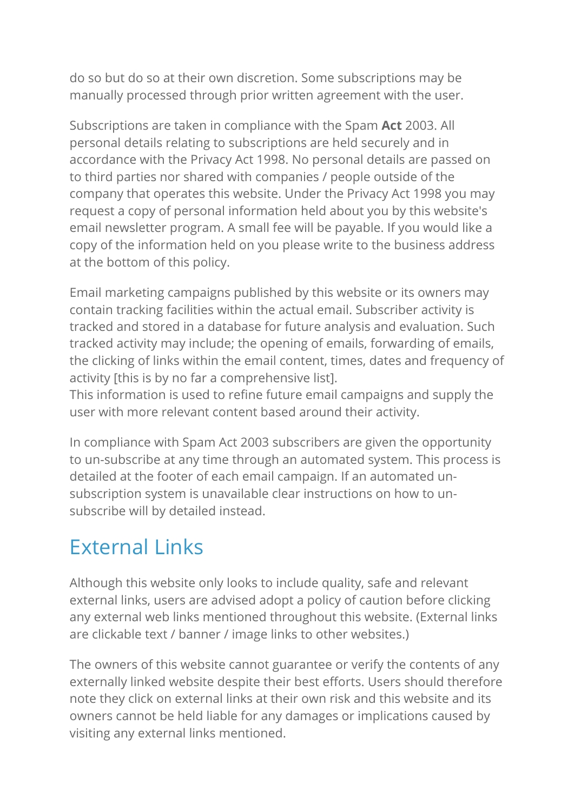do so but do so at their own discretion. Some subscriptions may be manually processed through prior written agreement with the user.

Subscriptions are taken in compliance with the Spam **Act** 2003. All personal details relating to subscriptions are held securely and in accordance with the Privacy Act 1998. No personal details are passed on to third parties nor shared with companies / people outside of the company that operates this website. Under the Privacy Act 1998 you may request a copy of personal information held about you by this website's email newsletter program. A small fee will be payable. If you would like a copy of the information held on you please write to the business address at the bottom of this policy.

Email marketing campaigns published by this website or its owners may contain tracking facilities within the actual email. Subscriber activity is tracked and stored in a database for future analysis and evaluation. Such tracked activity may include; the opening of emails, forwarding of emails, the clicking of links within the email content, times, dates and frequency of activity [this is by no far a comprehensive list].

This information is used to refine future email campaigns and supply the user with more relevant content based around their activity.

In compliance with Spam Act 2003 subscribers are given the opportunity to un-subscribe at any time through an automated system. This process is detailed at the footer of each email campaign. If an automated unsubscription system is unavailable clear instructions on how to unsubscribe will by detailed instead.

#### External Links

Although this website only looks to include quality, safe and relevant external links, users are advised adopt a policy of caution before clicking any external web links mentioned throughout this website. (External links are clickable text / banner / image links to other websites.)

The owners of this website cannot guarantee or verify the contents of any externally linked website despite their best efforts. Users should therefore note they click on external links at their own risk and this website and its owners cannot be held liable for any damages or implications caused by visiting any external links mentioned.